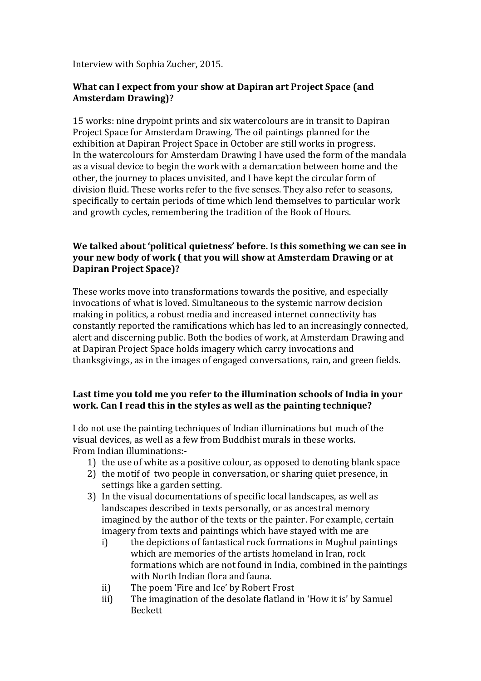Interview with Sophia Zucher, 2015.

### **What can I expect from your show at Dapiran art Project Space (and Amsterdam Drawing)?**

15 works: nine drypoint prints and six watercolours are in transit to Dapiran Project Space for Amsterdam Drawing. The oil paintings planned for the exhibition at Dapiran Project Space in October are still works in progress. In the watercolours for Amsterdam Drawing I have used the form of the mandala as a visual device to begin the work with a demarcation between home and the other, the journey to places unvisited, and I have kept the circular form of division fluid. These works refer to the five senses. They also refer to seasons, specifically to certain periods of time which lend themselves to particular work and growth cycles, remembering the tradition of the Book of Hours.

# **We talked about 'political quietness' before. Is this something we can see in your new body of work ( that you will show at Amsterdam Drawing or at Dapiran Project Space)?**

These works move into transformations towards the positive, and especially invocations of what is loved. Simultaneous to the systemic narrow decision making in politics, a robust media and increased internet connectivity has constantly reported the ramifications which has led to an increasingly connected, alert and discerning public. Both the bodies of work, at Amsterdam Drawing and at Dapiran Project Space holds imagery which carry invocations and thanksgivings, as in the images of engaged conversations, rain, and green fields.

## **Last time you told me you refer to the illumination schools of India in your work. Can I read this in the styles as well as the painting technique?**

I do not use the painting techniques of Indian illuminations but much of the visual devices, as well as a few from Buddhist murals in these works. From Indian illuminations:-

- 1) the use of white as a positive colour, as opposed to denoting blank space
- 2) the motif of two people in conversation, or sharing quiet presence, in settings like a garden setting.
- 3) In the visual documentations of specific local landscapes, as well as landscapes described in texts personally, or as ancestral memory imagined by the author of the texts or the painter. For example, certain imagery from texts and paintings which have stayed with me are
	- i) the depictions of fantastical rock formations in Mughul paintings which are memories of the artists homeland in Iran, rock formations which are not found in India, combined in the paintings with North Indian flora and fauna.
	- ii) The poem 'Fire and Ice' by Robert Frost
	- iii) The imagination of the desolate flatland in 'How it is' by Samuel Beckett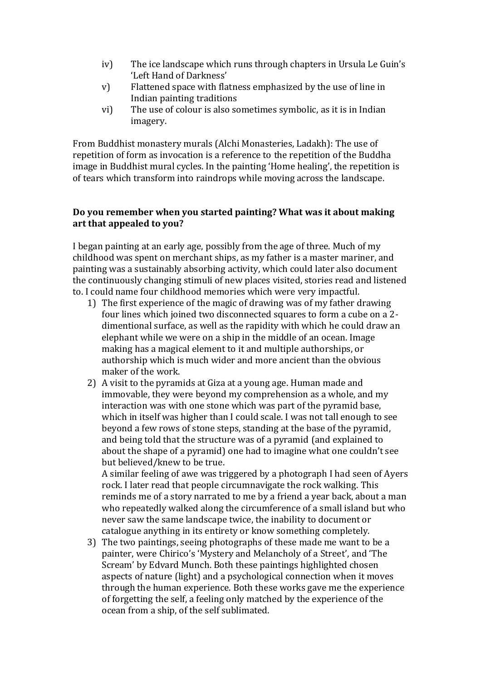- iv) The ice landscape which runs through chapters in Ursula Le Guin's 'Left Hand of Darkness'
- v) Flattened space with flatness emphasized by the use of line in Indian painting traditions
- vi) The use of colour is also sometimes symbolic, as it is in Indian imagery.

From Buddhist monastery murals (Alchi Monasteries, Ladakh): The use of repetition of form as invocation is a reference to the repetition of the Buddha image in Buddhist mural cycles. In the painting 'Home healing', the repetition is of tears which transform into raindrops while moving across the landscape.

#### **Do you remember when you started painting? What was it about making art that appealed to you?**

I began painting at an early age, possibly from the age of three. Much of my childhood was spent on merchant ships, as my father is a master mariner, and painting was a sustainably absorbing activity, which could later also document the continuously changing stimuli of new places visited, stories read and listened to. I could name four childhood memories which were very impactful.

- 1) The first experience of the magic of drawing was of my father drawing four lines which joined two disconnected squares to form a cube on a 2 dimentional surface, as well as the rapidity with which he could draw an elephant while we were on a ship in the middle of an ocean. Image making has a magical element to it and multiple authorships, or authorship which is much wider and more ancient than the obvious maker of the work.
- 2) A visit to the pyramids at Giza at a young age. Human made and immovable, they were beyond my comprehension as a whole, and my interaction was with one stone which was part of the pyramid base, which in itself was higher than I could scale. I was not tall enough to see beyond a few rows of stone steps, standing at the base of the pyramid, and being told that the structure was of a pyramid (and explained to about the shape of a pyramid) one had to imagine what one couldn't see but believed/knew to be true.

A similar feeling of awe was triggered by a photograph I had seen of Ayers rock. I later read that people circumnavigate the rock walking. This reminds me of a story narrated to me by a friend a year back, about a man who repeatedly walked along the circumference of a small island but who never saw the same landscape twice, the inability to document or catalogue anything in its entirety or know something completely.

3) The two paintings, seeing photographs of these made me want to be a painter, were Chirico's 'Mystery and Melancholy of a Street', and 'The Scream' by Edvard Munch. Both these paintings highlighted chosen aspects of nature (light) and a psychological connection when it moves through the human experience. Both these works gave me the experience of forgetting the self, a feeling only matched by the experience of the ocean from a ship, of the self sublimated.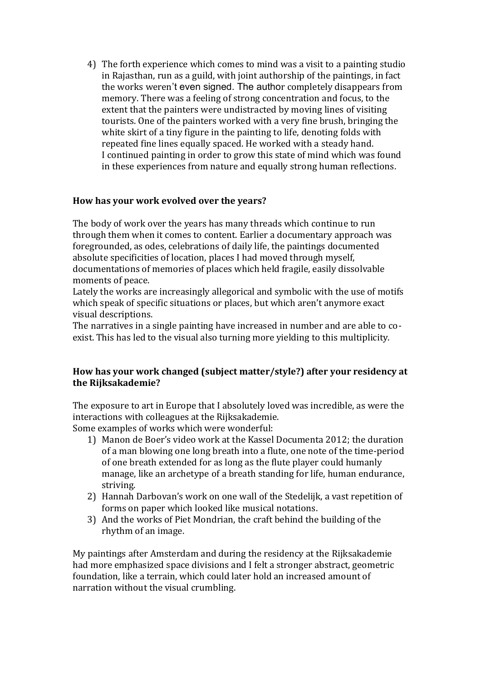4) The forth experience which comes to mind was a visit to a painting studio in Rajasthan, run as a guild, with joint authorship of the paintings, in fact the works weren't even signed. The author completely disappears from memory. There was a feeling of strong concentration and focus, to the extent that the painters were undistracted by moving lines of visiting tourists. One of the painters worked with a very fine brush, bringing the white skirt of a tiny figure in the painting to life, denoting folds with repeated fine lines equally spaced. He worked with a steady hand. I continued painting in order to grow this state of mind which was found in these experiences from nature and equally strong human reflections.

## **How has your work evolved over the years?**

The body of work over the years has many threads which continue to run through them when it comes to content. Earlier a documentary approach was foregrounded, as odes, celebrations of daily life, the paintings documented absolute specificities of location, places I had moved through myself, documentations of memories of places which held fragile, easily dissolvable moments of peace.

Lately the works are increasingly allegorical and symbolic with the use of motifs which speak of specific situations or places, but which aren't anymore exact visual descriptions.

The narratives in a single painting have increased in number and are able to coexist. This has led to the visual also turning more yielding to this multiplicity.

## **How has your work changed (subject matter/style?) after your residency at the Rijksakademie?**

The exposure to art in Europe that I absolutely loved was incredible, as were the interactions with colleagues at the Rijksakademie.

Some examples of works which were wonderful:

- 1) Manon de Boer's video work at the Kassel Documenta 2012; the duration of a man blowing one long breath into a flute, one note of the time-period of one breath extended for as long as the flute player could humanly manage, like an archetype of a breath standing for life, human endurance, striving.
- 2) Hannah Darbovan's work on one wall of the Stedelijk, a vast repetition of forms on paper which looked like musical notations.
- 3) And the works of Piet Mondrian, the craft behind the building of the rhythm of an image.

My paintings after Amsterdam and during the residency at the Rijksakademie had more emphasized space divisions and I felt a stronger abstract, geometric foundation, like a terrain, which could later hold an increased amount of narration without the visual crumbling.